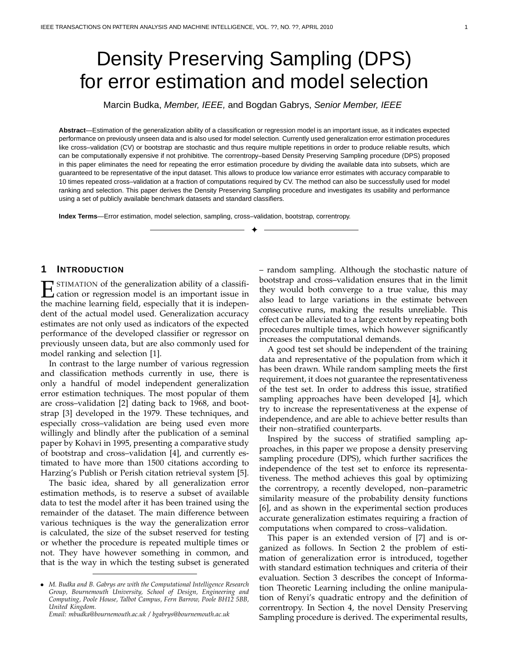# Density Preserving Sampling (DPS) for error estimation and model selection

Marcin Budka, Member, IEEE, and Bogdan Gabrys, Senior Member, IEEE

**Abstract**—Estimation of the generalization ability of a classification or regression model is an important issue, as it indicates expected performance on previously unseen data and is also used for model selection. Currently used generalization error estimation procedures like cross–validation (CV) or bootstrap are stochastic and thus require multiple repetitions in order to produce reliable results, which can be computationally expensive if not prohibitive. The correntropy–based Density Preserving Sampling procedure (DPS) proposed in this paper eliminates the need for repeating the error estimation procedure by dividing the available data into subsets, which are guaranteed to be representative of the input dataset. This allows to produce low variance error estimates with accuracy comparable to 10 times repeated cross–validation at a fraction of computations required by CV. The method can also be successfully used for model ranking and selection. This paper derives the Density Preserving Sampling procedure and investigates its usability and performance using a set of publicly available benchmark datasets and standard classifiers.

✦

**Index Terms**—Error estimation, model selection, sampling, cross–validation, bootstrap, correntropy.

# **1 INTRODUCTION**

ESTIMATION of the generalization ability of a classification or regression model is an important issue in the magnitude learning field accordible that it is in decay the machine learning field, especially that it is independent of the actual model used. Generalization accuracy estimates are not only used as indicators of the expected performance of the developed classifier or regressor on previously unseen data, but are also commonly used for model ranking and selection [1].

In contrast to the large number of various regression and classification methods currently in use, there is only a handful of model independent generalization error estimation techniques. The most popular of them are cross–validation [2] dating back to 1968, and bootstrap [3] developed in the 1979. These techniques, and especially cross–validation are being used even more willingly and blindly after the publication of a seminal paper by Kohavi in 1995, presenting a comparative study of bootstrap and cross–validation [4], and currently estimated to have more than 1500 citations according to Harzing's Publish or Perish citation retrieval system [5].

The basic idea, shared by all generalization error estimation methods, is to reserve a subset of available data to test the model after it has been trained using the remainder of the dataset. The main difference between various techniques is the way the generalization error is calculated, the size of the subset reserved for testing or whether the procedure is repeated multiple times or not. They have however something in common, and that is the way in which the testing subset is generated

*Email: mbudka@bournemouth.ac.uk / bgabrys@bournemouth.ac.uk*

– random sampling. Although the stochastic nature of bootstrap and cross–validation ensures that in the limit they would both converge to a true value, this may also lead to large variations in the estimate between consecutive runs, making the results unreliable. This effect can be alleviated to a large extent by repeating both procedures multiple times, which however significantly increases the computational demands.

A good test set should be independent of the training data and representative of the population from which it has been drawn. While random sampling meets the first requirement, it does not guarantee the representativeness of the test set. In order to address this issue, stratified sampling approaches have been developed [4], which try to increase the representativeness at the expense of independence, and are able to achieve better results than their non–stratified counterparts.

Inspired by the success of stratified sampling approaches, in this paper we propose a density preserving sampling procedure (DPS), which further sacrifices the independence of the test set to enforce its representativeness. The method achieves this goal by optimizing the correntropy, a recently developed, non–parametric similarity measure of the probability density functions [6], and as shown in the experimental section produces accurate generalization estimates requiring a fraction of computations when compared to cross–validation.

This paper is an extended version of [7] and is organized as follows. In Section 2 the problem of estimation of generalization error is introduced, together with standard estimation techniques and criteria of their evaluation. Section 3 describes the concept of Information Theoretic Learning including the online manipulation of Renyi's quadratic entropy and the definition of correntropy. In Section 4, the novel Density Preserving Sampling procedure is derived. The experimental results,

<sup>•</sup> *M. Budka and B. Gabrys are with the Computational Intelligence Research Group, Bournemouth University, School of Design, Engineering and Computing, Poole House, Talbot Campus, Fern Barrow, Poole BH12 5BB, United Kingdom.*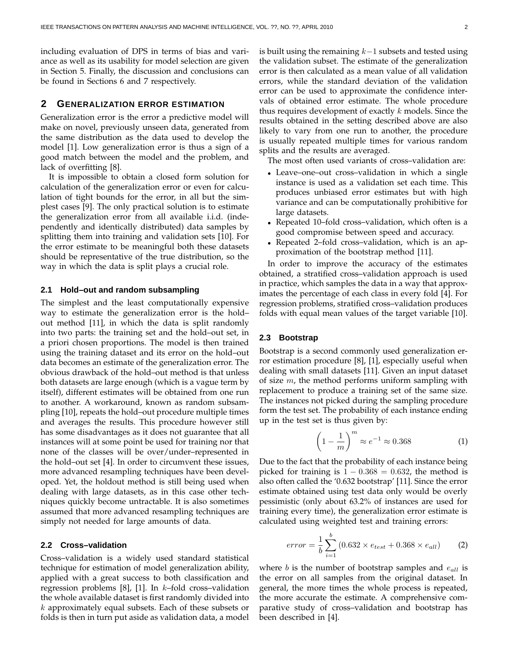including evaluation of DPS in terms of bias and variance as well as its usability for model selection are given in Section 5. Finally, the discussion and conclusions can be found in Sections 6 and 7 respectively.

# **2 GENERALIZATION ERROR ESTIMATION**

Generalization error is the error a predictive model will make on novel, previously unseen data, generated from the same distribution as the data used to develop the model [1]. Low generalization error is thus a sign of a good match between the model and the problem, and lack of overfitting [8].

It is impossible to obtain a closed form solution for calculation of the generalization error or even for calculation of tight bounds for the error, in all but the simplest cases [9]. The only practical solution is to estimate the generalization error from all available i.i.d. (independently and identically distributed) data samples by splitting them into training and validation sets [10]. For the error estimate to be meaningful both these datasets should be representative of the true distribution, so the way in which the data is split plays a crucial role.

# **2.1 Hold–out and random subsampling**

The simplest and the least computationally expensive way to estimate the generalization error is the hold– out method [11], in which the data is split randomly into two parts: the training set and the hold–out set, in a priori chosen proportions. The model is then trained using the training dataset and its error on the hold–out data becomes an estimate of the generalization error. The obvious drawback of the hold–out method is that unless both datasets are large enough (which is a vague term by itself), different estimates will be obtained from one run to another. A workaround, known as random subsampling [10], repeats the hold–out procedure multiple times and averages the results. This procedure however still has some disadvantages as it does not guarantee that all instances will at some point be used for training nor that none of the classes will be over/under–represented in the hold–out set [4]. In order to circumvent these issues, more advanced resampling techniques have been developed. Yet, the holdout method is still being used when dealing with large datasets, as in this case other techniques quickly become untractable. It is also sometimes assumed that more advanced resampling techniques are simply not needed for large amounts of data.

#### **2.2 Cross–validation**

Cross–validation is a widely used standard statistical technique for estimation of model generalization ability, applied with a great success to both classification and regression problems  $[8]$ ,  $[1]$ . In k-fold cross-validation the whole available dataset is first randomly divided into  $k$  approximately equal subsets. Each of these subsets or folds is then in turn put aside as validation data, a model is built using the remaining  $k-1$  subsets and tested using the validation subset. The estimate of the generalization error is then calculated as a mean value of all validation errors, while the standard deviation of the validation error can be used to approximate the confidence intervals of obtained error estimate. The whole procedure thus requires development of exactly  $k$  models. Since the results obtained in the setting described above are also likely to vary from one run to another, the procedure is usually repeated multiple times for various random splits and the results are averaged.

The most often used variants of cross–validation are:

- Leave–one–out cross–validation in which a single instance is used as a validation set each time. This produces unbiased error estimates but with high variance and can be computationally prohibitive for large datasets.
- Repeated 10–fold cross–validation, which often is a good compromise between speed and accuracy.
- Repeated 2–fold cross–validation, which is an approximation of the bootstrap method [11].

In order to improve the accuracy of the estimates obtained, a stratified cross–validation approach is used in practice, which samples the data in a way that approximates the percentage of each class in every fold [4]. For regression problems, stratified cross–validation produces folds with equal mean values of the target variable [10].

#### **2.3 Bootstrap**

Bootstrap is a second commonly used generalization error estimation procedure [8], [1], especially useful when dealing with small datasets [11]. Given an input dataset of size  $m$ , the method performs uniform sampling with replacement to produce a training set of the same size. The instances not picked during the sampling procedure form the test set. The probability of each instance ending up in the test set is thus given by:

$$
\left(1 - \frac{1}{m}\right)^m \approx e^{-1} \approx 0.368\tag{1}
$$

Due to the fact that the probability of each instance being picked for training is  $1 - 0.368 = 0.632$ , the method is also often called the '0.632 bootstrap' [11]. Since the error estimate obtained using test data only would be overly pessimistic (only about 63.2% of instances are used for training every time), the generalization error estimate is calculated using weighted test and training errors:

$$
error = \frac{1}{b} \sum_{i=1}^{b} (0.632 \times e_{test} + 0.368 \times e_{all})
$$
 (2)

where b is the number of bootstrap samples and  $e_{all}$  is the error on all samples from the original dataset. In general, the more times the whole process is repeated, the more accurate the estimate. A comprehensive comparative study of cross–validation and bootstrap has been described in [4].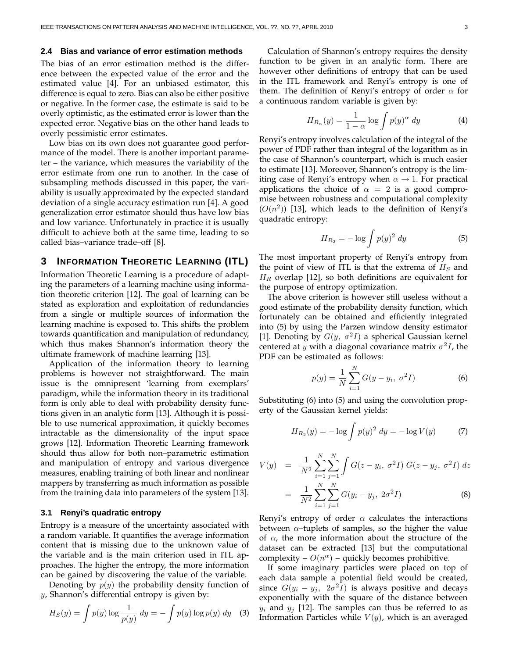# **2.4 Bias and variance of error estimation methods**

The bias of an error estimation method is the difference between the expected value of the error and the estimated value [4]. For an unbiased estimator, this difference is equal to zero. Bias can also be either positive or negative. In the former case, the estimate is said to be overly optimistic, as the estimated error is lower than the expected error. Negative bias on the other hand leads to overly pessimistic error estimates.

Low bias on its own does not guarantee good performance of the model. There is another important parameter – the variance, which measures the variability of the error estimate from one run to another. In the case of subsampling methods discussed in this paper, the variability is usually approximated by the expected standard deviation of a single accuracy estimation run [4]. A good generalization error estimator should thus have low bias and low variance. Unfortunately in practice it is usually difficult to achieve both at the same time, leading to so called bias–variance trade–off [8].

# **3 INFORMATION THEORETIC LEARNING (ITL)**

Information Theoretic Learning is a procedure of adapting the parameters of a learning machine using information theoretic criterion [12]. The goal of learning can be stated as exploration and exploitation of redundancies from a single or multiple sources of information the learning machine is exposed to. This shifts the problem towards quantification and manipulation of redundancy, which thus makes Shannon's information theory the ultimate framework of machine learning [13].

Application of the information theory to learning problems is however not straightforward. The main issue is the omnipresent 'learning from exemplars' paradigm, while the information theory in its traditional form is only able to deal with probability density functions given in an analytic form [13]. Although it is possible to use numerical approximation, it quickly becomes intractable as the dimensionality of the input space grows [12]. Information Theoretic Learning framework should thus allow for both non–parametric estimation and manipulation of entropy and various divergence measures, enabling training of both linear and nonlinear mappers by transferring as much information as possible from the training data into parameters of the system [13].

#### **3.1 Renyi's quadratic entropy**

Entropy is a measure of the uncertainty associated with a random variable. It quantifies the average information content that is missing due to the unknown value of the variable and is the main criterion used in ITL approaches. The higher the entropy, the more information can be gained by discovering the value of the variable.

Denoting by  $p(y)$  the probability density function of y, Shannon's differential entropy is given by:

$$
H_S(y) = \int p(y) \log \frac{1}{p(y)} dy = -\int p(y) \log p(y) dy \quad (3)
$$

Calculation of Shannon's entropy requires the density function to be given in an analytic form. There are however other definitions of entropy that can be used in the ITL framework and Renyi's entropy is one of them. The definition of Renyi's entropy of order  $\alpha$  for a continuous random variable is given by:

$$
H_{R_{\alpha}}(y) = \frac{1}{1 - \alpha} \log \int p(y)^{\alpha} dy \tag{4}
$$

Renyi's entropy involves calculation of the integral of the power of PDF rather than integral of the logarithm as in the case of Shannon's counterpart, which is much easier to estimate [13]. Moreover, Shannon's entropy is the limiting case of Renyi's entropy when  $\alpha \rightarrow 1$ . For practical applications the choice of  $\alpha = 2$  is a good compromise between robustness and computational complexity  $(O(n^2))$  [13], which leads to the definition of Renyi's quadratic entropy:

$$
H_{R_2} = -\log \int p(y)^2 dy \tag{5}
$$

The most important property of Renyi's entropy from the point of view of ITL is that the extrema of  $H<sub>S</sub>$  and  $H_R$  overlap [12], so both definitions are equivalent for the purpose of entropy optimization.

The above criterion is however still useless without a good estimate of the probability density function, which fortunately can be obtained and efficiently integrated into (5) by using the Parzen window density estimator [1]. Denoting by  $G(y, \sigma^2 I)$  a spherical Gaussian kernel centered at y with a diagonal covariance matrix  $\sigma^2 I$ , the PDF can be estimated as follows:

$$
p(y) = \frac{1}{N} \sum_{i=1}^{N} G(y - y_i, \sigma^2 I)
$$
 (6)

Substituting (6) into (5) and using the convolution property of the Gaussian kernel yields:

$$
H_{R_2}(y) = -\log \int p(y)^2 \, dy = -\log V(y) \tag{7}
$$

$$
V(y) = \frac{1}{N^2} \sum_{i=1}^{N} \sum_{j=1}^{N} \int G(z - y_i, \sigma^2 I) G(z - y_j, \sigma^2 I) dz
$$
  
= 
$$
\frac{1}{N^2} \sum_{i=1}^{N} \sum_{j=1}^{N} G(y_i - y_j, 2\sigma^2 I)
$$
 (8)

Renyi's entropy of order  $\alpha$  calculates the interactions between  $\alpha$ -tuplets of samples, so the higher the value of  $\alpha$ , the more information about the structure of the dataset can be extracted [13] but the computational complexity –  $O(n^{\alpha})$  – quickly becomes prohibitive.

If some imaginary particles were placed on top of each data sample a potential field would be created, since  $G(y_i - y_j, 2\sigma^2 I)$  is always positive and decays exponentially with the square of the distance between  $y_i$  and  $y_j$  [12]. The samples can thus be referred to as Information Particles while  $V(y)$ , which is an averaged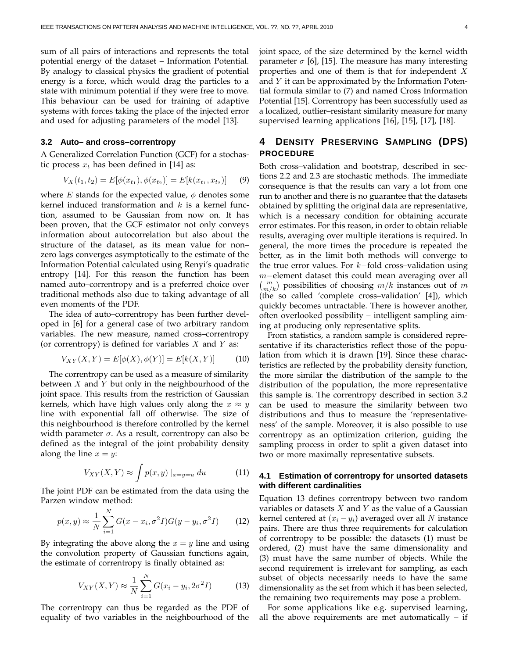sum of all pairs of interactions and represents the total potential energy of the dataset – Information Potential. By analogy to classical physics the gradient of potential energy is a force, which would drag the particles to a state with minimum potential if they were free to move. This behaviour can be used for training of adaptive systems with forces taking the place of the injected error and used for adjusting parameters of the model [13].

#### **3.2 Auto– and cross–correntropy**

A Generalized Correlation Function (GCF) for a stochastic process  $x_t$  has been defined in [14] as:

$$
V_X(t_1, t_2) = E[\phi(x_{t_1}), \phi(x_{t_2})] = E[k(x_{t_1}, x_{t_2})] \tag{9}
$$

where E stands for the expected value,  $\phi$  denotes some kernel induced transformation and  $k$  is a kernel function, assumed to be Gaussian from now on. It has been proven, that the GCF estimator not only conveys information about autocorrelation but also about the structure of the dataset, as its mean value for non– zero lags converges asymptotically to the estimate of the Information Potential calculated using Renyi's quadratic entropy [14]. For this reason the function has been named auto–correntropy and is a preferred choice over traditional methods also due to taking advantage of all even moments of the PDF.

The idea of auto–correntropy has been further developed in [6] for a general case of two arbitrary random variables. The new measure, named cross–correntropy (or correntropy) is defined for variables  $X$  and  $Y$  as:

$$
V_{XY}(X,Y) = E[\phi(X), \phi(Y)] = E[k(X,Y)] \tag{10}
$$

The correntropy can be used as a measure of similarity between  $X$  and  $Y$  but only in the neighbourhood of the joint space. This results from the restriction of Gaussian kernels, which have high values only along the  $x \approx y$ line with exponential fall off otherwise. The size of this neighbourhood is therefore controlled by the kernel width parameter  $\sigma$ . As a result, correntropy can also be defined as the integral of the joint probability density along the line  $x = y$ :

$$
V_{XY}(X,Y) \approx \int p(x,y) \mid_{x=y=u} du \tag{11}
$$

The joint PDF can be estimated from the data using the Parzen window method:

$$
p(x, y) \approx \frac{1}{N} \sum_{i=1}^{N} G(x - x_i, \sigma^2 I) G(y - y_i, \sigma^2 I)
$$
 (12)

By integrating the above along the  $x = y$  line and using the convolution property of Gaussian functions again, the estimate of correntropy is finally obtained as:

$$
V_{XY}(X,Y) \approx \frac{1}{N} \sum_{i=1}^{N} G(x_i - y_i, 2\sigma^2 I)
$$
 (13)

The correntropy can thus be regarded as the PDF of equality of two variables in the neighbourhood of the joint space, of the size determined by the kernel width parameter  $\sigma$  [6], [15]. The measure has many interesting properties and one of them is that for independent X and  $Y$  it can be approximated by the Information Potential formula similar to (7) and named Cross Information Potential [15]. Correntropy has been successfully used as a localized, outlier–resistant similarity measure for many supervised learning applications [16], [15], [17], [18].

# **4 DENSITY PRESERVING SAMPLING (DPS) PROCEDURE**

Both cross–validation and bootstrap, described in sections 2.2 and 2.3 are stochastic methods. The immediate consequence is that the results can vary a lot from one run to another and there is no guarantee that the datasets obtained by splitting the original data are representative, which is a necessary condition for obtaining accurate error estimates. For this reason, in order to obtain reliable results, averaging over multiple iterations is required. In general, the more times the procedure is repeated the better, as in the limit both methods will converge to the true error values. For  $k$ -fold cross–validation using m−element dataset this could mean averaging over all  $\binom{m}{m/k}$  possibilities of choosing  $m/k$  instances out of m (the so called 'complete cross–validation' [4]), which quickly becomes untractable. There is however another, often overlooked possibility – intelligent sampling aiming at producing only representative splits.

From statistics, a random sample is considered representative if its characteristics reflect those of the population from which it is drawn [19]. Since these characteristics are reflected by the probability density function, the more similar the distribution of the sample to the distribution of the population, the more representative this sample is. The correntropy described in section 3.2 can be used to measure the similarity between two distributions and thus to measure the 'representativeness' of the sample. Moreover, it is also possible to use correntropy as an optimization criterion, guiding the sampling process in order to split a given dataset into two or more maximally representative subsets.

# **4.1 Estimation of correntropy for unsorted datasets with different cardinalities**

Equation 13 defines correntropy between two random variables or datasets  $X$  and  $Y$  as the value of a Gaussian kernel centered at  $(x_i - y_i)$  averaged over all N instance pairs. There are thus three requirements for calculation of correntropy to be possible: the datasets (1) must be ordered, (2) must have the same dimensionality and (3) must have the same number of objects. While the second requirement is irrelevant for sampling, as each subset of objects necessarily needs to have the same dimensionality as the set from which it has been selected, the remaining two requirements may pose a problem.

For some applications like e.g. supervised learning, all the above requirements are met automatically – if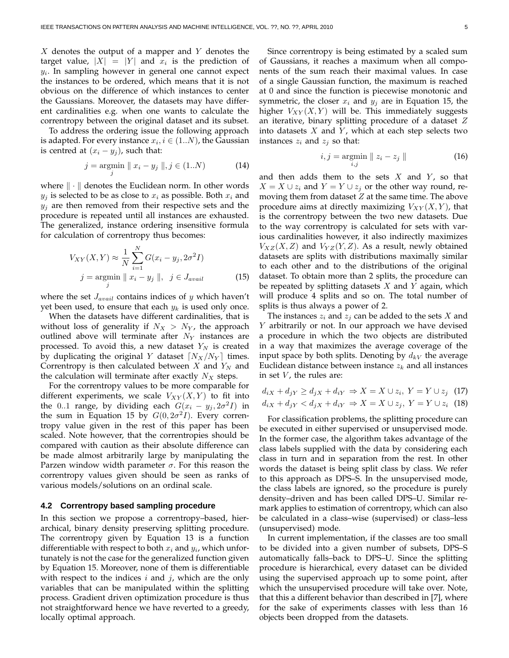$X$  denotes the output of a mapper and Y denotes the target value,  $|X| = |Y|$  and  $x_i$  is the prediction of  $y_i$ . In sampling however in general one cannot expect the instances to be ordered, which means that it is not obvious on the difference of which instances to center the Gaussians. Moreover, the datasets may have different cardinalities e.g. when one wants to calculate the correntropy between the original dataset and its subset.

To address the ordering issue the following approach is adapted. For every instance  $x_i, i \in (1..N)$ , the Gaussian is centred at  $(x_i - y_j)$ , such that:

$$
j = \underset{j}{\text{argmin}} \parallel x_i - y_j \parallel, j \in (1..N) \tag{14}
$$

where  $\|\cdot\|$  denotes the Euclidean norm. In other words  $y_j$  is selected to be as close to  $x_i$  as possible. Both  $x_i$  and  $y_j$  are then removed from their respective sets and the procedure is repeated until all instances are exhausted. The generalized, instance ordering insensitive formula for calculation of correntropy thus becomes:

$$
V_{XY}(X,Y) \approx \frac{1}{N} \sum_{i=1}^{N} G(x_i - y_j, 2\sigma^2 I)
$$
  
\n $j = \underset{j}{\text{argmin}} ||x_i - y_j||, \quad j \in J_{avail}$  (15)

where the set  $J_{avail}$  contains indices of y which haven't yet been used, to ensure that each  $y_k$  is used only once.

When the datasets have different cardinalities, that is without loss of generality if  $N_X > N_Y$ , the approach outlined above will terminate after  $N_Y$  instances are processed. To avoid this, a new dataset  $Y_N$  is created by duplicating the original Y dataset  $\lceil N_X/N_Y \rceil$  times. Correntropy is then calculated between  $X$  and  $Y_N$  and the calculation will terminate after exactly  $N_X$  steps.

For the correntropy values to be more comparable for different experiments, we scale  $V_{XY}(X, Y)$  to fit into the 0..1 range, by dividing each  $G(x_i - y_j, 2\sigma^2 I)$  in the sum in Equation 15 by  $G(0, 2\sigma^2 I)$ . Every correntropy value given in the rest of this paper has been scaled. Note however, that the correntropies should be compared with caution as their absolute difference can be made almost arbitrarily large by manipulating the Parzen window width parameter  $\sigma$ . For this reason the correntropy values given should be seen as ranks of various models/solutions on an ordinal scale.

#### **4.2 Correntropy based sampling procedure**

In this section we propose a correntropy–based, hierarchical, binary density preserving splitting procedure. The correntropy given by Equation 13 is a function differentiable with respect to both  $x_i$  and  $y_i$ , which unfortunately is not the case for the generalized function given by Equation 15. Moreover, none of them is differentiable with respect to the indices  $i$  and  $j$ , which are the only variables that can be manipulated within the splitting process. Gradient driven optimization procedure is thus not straightforward hence we have reverted to a greedy, locally optimal approach.

Since correntropy is being estimated by a scaled sum of Gaussians, it reaches a maximum when all components of the sum reach their maximal values. In case of a single Gaussian function, the maximum is reached at 0 and since the function is piecewise monotonic and symmetric, the closer  $x_i$  and  $y_j$  are in Equation 15, the higher  $V_{XY}(X, Y)$  will be. This immediately suggests an iterative, binary splitting procedure of a dataset  $Z$ into datasets  $X$  and  $Y$ , which at each step selects two instances  $z_i$  and  $z_j$  so that:

$$
i, j = \underset{i,j}{\text{argmin}} \parallel z_i - z_j \parallel \tag{16}
$$

and then adds them to the sets  $X$  and  $Y$ , so that  $X = X \cup z_i$  and  $Y = Y \cup z_j$  or the other way round, removing them from dataset  $Z$  at the same time. The above procedure aims at directly maximizing  $V_{XY}(X, Y)$ , that is the correntropy between the two new datasets. Due to the way correntropy is calculated for sets with various cardinalities however, it also indirectly maximizes  $V_{XZ}(X, Z)$  and  $V_{YZ}(Y, Z)$ . As a result, newly obtained datasets are splits with distributions maximally similar to each other and to the distributions of the original dataset. To obtain more than 2 splits, the procedure can be repeated by splitting datasets  $X$  and  $Y$  again, which will produce 4 splits and so on. The total number of splits is thus always a power of 2.

The instances  $z_i$  and  $z_j$  can be added to the sets X and Y arbitrarily or not. In our approach we have devised a procedure in which the two objects are distributed in a way that maximizes the average coverage of the input space by both splits. Denoting by  $d_{kV}$  the average Euclidean distance between instance  $z_k$  and all instances in set  $V$ , the rules are:

$$
d_{iX} + d_{jY} \ge d_{jX} + d_{iY} \Rightarrow X = X \cup z_i, Y = Y \cup z_j
$$
 (17)  

$$
d_{iX} + d_{jY} < d_{jX} + d_{iY} \Rightarrow X = X \cup z_j, Y = Y \cup z_i
$$
 (18)

For classification problems, the splitting procedure can be executed in either supervised or unsupervised mode. In the former case, the algorithm takes advantage of the class labels supplied with the data by considering each class in turn and in separation from the rest. In other words the dataset is being split class by class. We refer to this approach as DPS–S. In the unsupervised mode, the class labels are ignored, so the procedure is purely density–driven and has been called DPS–U. Similar remark applies to estimation of correntropy, which can also be calculated in a class–wise (supervised) or class–less (unsupervised) mode.

In current implementation, if the classes are too small to be divided into a given number of subsets, DPS–S automatically falls–back to DPS–U. Since the splitting procedure is hierarchical, every dataset can be divided using the supervised approach up to some point, after which the unsupervised procedure will take over. Note, that this a different behavior than described in [7], where for the sake of experiments classes with less than 16 objects been dropped from the datasets.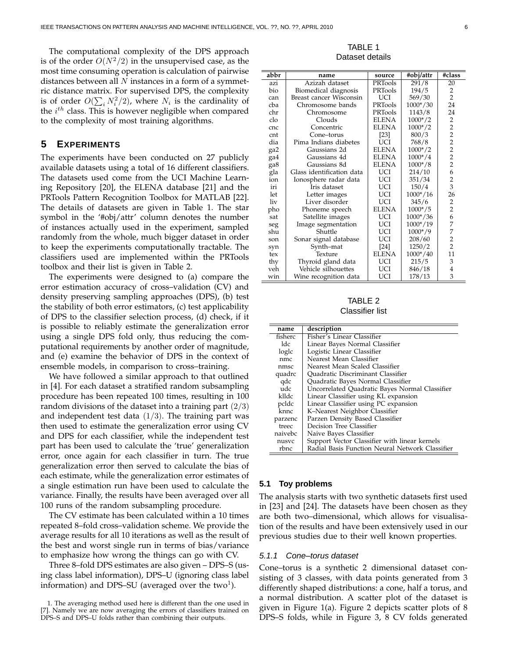The computational complexity of the DPS approach is of the order  $O(N^2/2)$  in the unsupervised case, as the most time consuming operation is calculation of pairwise distances between all  $N$  instances in a form of a symmetric distance matrix. For supervised DPS, the complexity is of order  $O(\sum_i N_i^2/2)$ , where  $N_i$  is the cardinality of the  $i^{th}$  class. This is however negligible when compared to the complexity of most training algorithms.

# **5 EXPERIMENTS**

The experiments have been conducted on 27 publicly available datasets using a total of 16 different classifiers. The datasets used come from the UCI Machine Learning Repository [20], the ELENA database [21] and the PRTools Pattern Recognition Toolbox for MATLAB [22]. The details of datasets are given in Table 1. The star symbol in the '#obj/attr' column denotes the number of instances actually used in the experiment, sampled randomly from the whole, much bigger dataset in order to keep the experiments computationally tractable. The classifiers used are implemented within the PRTools toolbox and their list is given in Table 2.

The experiments were designed to (a) compare the error estimation accuracy of cross–validation (CV) and density preserving sampling approaches (DPS), (b) test the stability of both error estimators, (c) test applicability of DPS to the classifier selection process, (d) check, if it is possible to reliably estimate the generalization error using a single DPS fold only, thus reducing the computational requirements by another order of magnitude, and (e) examine the behavior of DPS in the context of ensemble models, in comparison to cross–training.

We have followed a similar approach to that outlined in [4]. For each dataset a stratified random subsampling procedure has been repeated 100 times, resulting in 100 random divisions of the dataset into a training part  $(2/3)$ and independent test data  $(1/3)$ . The training part was then used to estimate the generalization error using CV and DPS for each classifier, while the independent test part has been used to calculate the 'true' generalization error, once again for each classifier in turn. The true generalization error then served to calculate the bias of each estimate, while the generalization error estimates of a single estimation run have been used to calculate the variance. Finally, the results have been averaged over all 100 runs of the random subsampling procedure.

The CV estimate has been calculated within a 10 times repeated 8–fold cross–validation scheme. We provide the average results for all 10 iterations as well as the result of the best and worst single run in terms of bias/variance to emphasize how wrong the things can go with CV.

Three 8–fold DPS estimates are also given – DPS–S (using class label information), DPS–U (ignoring class label information) and DPS–SU (averaged over the two<sup>1</sup>).

TABLE 1 Dataset details

| abbr | name                      | source         | #obj/attr  | #class         |
|------|---------------------------|----------------|------------|----------------|
| azi  | Azizah dataset            | <b>PRTools</b> | 291/8      | 20             |
| bio  | Biomedical diagnosis      | PRTools        | 194/5      | 2              |
| can  | Breast cancer Wisconsin   | UCI            | 569/30     | $\overline{2}$ |
| cba  | Chromosome bands          | PRTools        | 1000*/30   | 24             |
| chr  | Chromosome                | PRTools        | 1143/8     | 24             |
| clo  | Clouds                    | <b>ELENA</b>   | $1000*/2$  | $\overline{2}$ |
| cnc  | Concentric                | <b>ELENA</b>   | $1000*/2$  | 22222623       |
| cnt  | Cone-torus                | [23]           | 800/3      |                |
| dia  | Pima Indians diabetes     | UCI            | 768/8      |                |
| ga2  | Gaussians 2d              | <b>ELENA</b>   | $1000*/2$  |                |
| ga4  | Gaussians 4d              | <b>ELENA</b>   | $1000*/4$  |                |
| ga8  | Gaussians 8d              | <b>ELENA</b>   | $1000*/8$  |                |
| gla  | Glass identification data | UCI            | 214/10     |                |
| ion  | Ionosphere radar data     | UCI            | 351/34     |                |
| iri  | Iris dataset              | UCI            | 150/4      |                |
| let  | Letter images             | UCI            | $1000*/16$ | 26             |
| liv  | Liver disorder            | UCI            | 345/6      | $\frac{2}{2}$  |
| pho  | Phoneme speech            | <b>ELENA</b>   | $1000*/5$  |                |
| sat  | Satellite images          | UCI            | $1000*/36$ | $\frac{6}{7}$  |
| seg  | Image segmentation        | UCI            | 1000*/19   |                |
| shu  | Shuttle                   | UCI            | $1000*/9$  | 7              |
| son  | Sonar signal database     | UCI            | 208/60     | $\frac{2}{2}$  |
| syn  | Synth-mat                 | $[24]$         | 1250/2     |                |
| tex  | Texture                   | <b>ELENA</b>   | $1000*/40$ | 11             |
| thy  | Thyroid gland data        | UCI            | 215/5      | 3              |
| veh  | Vehicle silhouettes       | <b>UCI</b>     | 846/18     | $\overline{4}$ |
| win  | Wine recognition data     | UCI            | 178/13     | 3              |

TABLE 2 Classifier list

| name    | description                                     |
|---------|-------------------------------------------------|
| fisherc | Fisher's Linear Classifier                      |
| ldc     | Linear Bayes Normal Classifier                  |
| loglc   | Logistic Linear Classifier                      |
| nmc     | Nearest Mean Classifier                         |
| nmsc    | Nearest Mean Scaled Classifier                  |
| quadrc  | Quadratic Discriminant Classifier               |
| qdc     | Quadratic Bayes Normal Classifier               |
| udc     | Uncorrelated Quadratic Bayes Normal Classifier  |
| klldc   | Linear Classifier using KL expansion            |
| pcldc   | Linear Classifier using PC expansion            |
| knnc    | K-Nearest Neighbor Classifier                   |
| parzenc | Parzen Density Based Classifier                 |
| treec   | Decision Tree Classifier                        |
| naivebc | Naive Bayes Classifier                          |
| nusvc   | Support Vector Classifier with linear kernels   |
| rbnc    | Radial Basis Function Neural Network Classifier |

#### **5.1 Toy problems**

The analysis starts with two synthetic datasets first used in [23] and [24]. The datasets have been chosen as they are both two–dimensional, which allows for visualisation of the results and have been extensively used in our previous studies due to their well known properties.

#### 5.1.1 Cone–torus dataset

Cone–torus is a synthetic 2 dimensional dataset consisting of 3 classes, with data points generated from 3 differently shaped distributions: a cone, half a torus, and a normal distribution. A scatter plot of the dataset is given in Figure 1(a). Figure 2 depicts scatter plots of 8 DPS–S folds, while in Figure 3, 8 CV folds generated

<sup>1.</sup> The averaging method used here is different than the one used in [7]. Namely we are now averaging the errors of classifiers trained on DPS–S and DPS–U folds rather than combining their outputs.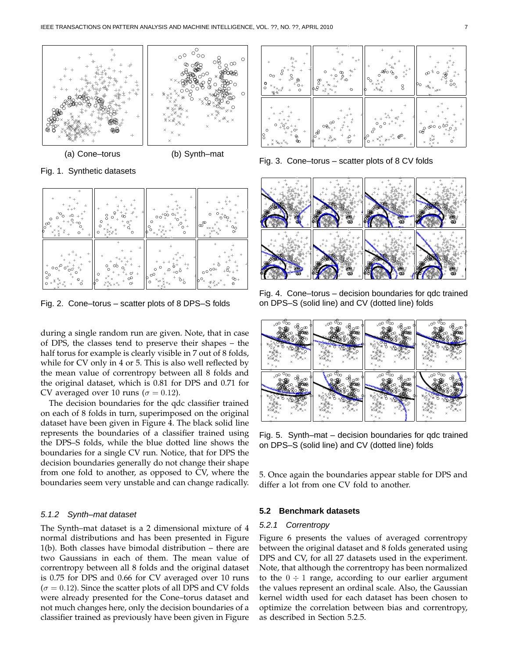

Fig. 1. Synthetic datasets



Fig. 2. Cone–torus – scatter plots of 8 DPS–S folds

during a single random run are given. Note, that in case of DPS, the classes tend to preserve their shapes – the half torus for example is clearly visible in 7 out of 8 folds, while for CV only in 4 or 5. This is also well reflected by the mean value of correntropy between all 8 folds and the original dataset, which is 0.81 for DPS and 0.71 for CV averaged over 10 runs ( $\sigma = 0.12$ ).

The decision boundaries for the qdc classifier trained on each of 8 folds in turn, superimposed on the original dataset have been given in Figure 4. The black solid line represents the boundaries of a classifier trained using the DPS–S folds, while the blue dotted line shows the boundaries for a single CV run. Notice, that for DPS the decision boundaries generally do not change their shape from one fold to another, as opposed to CV, where the boundaries seem very unstable and can change radically.

#### 5.1.2 Synth–mat dataset

The Synth–mat dataset is a 2 dimensional mixture of 4 normal distributions and has been presented in Figure 1(b). Both classes have bimodal distribution – there are two Gaussians in each of them. The mean value of correntropy between all 8 folds and the original dataset is 0.75 for DPS and 0.66 for CV averaged over 10 runs  $(\sigma = 0.12)$ . Since the scatter plots of all DPS and CV folds were already presented for the Cone–torus dataset and not much changes here, only the decision boundaries of a classifier trained as previously have been given in Figure



Fig. 3. Cone–torus – scatter plots of 8 CV folds



Fig. 4. Cone–torus – decision boundaries for qdc trained on DPS–S (solid line) and CV (dotted line) folds



Fig. 5. Synth–mat – decision boundaries for qdc trained on DPS–S (solid line) and CV (dotted line) folds

5. Once again the boundaries appear stable for DPS and differ a lot from one CV fold to another.

# **5.2 Benchmark datasets**

#### 5.2.1 Correntropy

Figure 6 presents the values of averaged correntropy between the original dataset and 8 folds generated using DPS and CV, for all 27 datasets used in the experiment. Note, that although the correntropy has been normalized to the  $0 \div 1$  range, according to our earlier argument the values represent an ordinal scale. Also, the Gaussian kernel width used for each dataset has been chosen to optimize the correlation between bias and correntropy, as described in Section 5.2.5.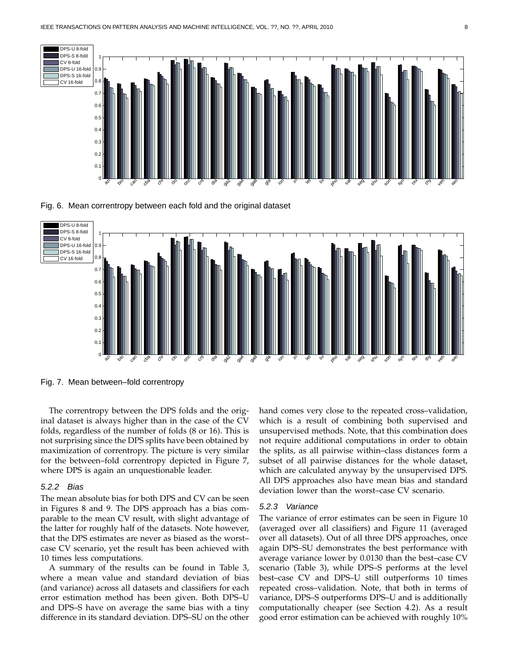

Fig. 6. Mean correntropy between each fold and the original dataset



Fig. 7. Mean between–fold correntropy

The correntropy between the DPS folds and the original dataset is always higher than in the case of the CV folds, regardless of the number of folds (8 or 16). This is not surprising since the DPS splits have been obtained by maximization of correntropy. The picture is very similar for the between–fold correntropy depicted in Figure 7, where DPS is again an unquestionable leader.

# 5.2.2 Bias

The mean absolute bias for both DPS and CV can be seen in Figures 8 and 9. The DPS approach has a bias comparable to the mean CV result, with slight advantage of the latter for roughly half of the datasets. Note however, that the DPS estimates are never as biased as the worst– case CV scenario, yet the result has been achieved with 10 times less computations.

A summary of the results can be found in Table 3, where a mean value and standard deviation of bias (and variance) across all datasets and classifiers for each error estimation method has been given. Both DPS–U and DPS–S have on average the same bias with a tiny difference in its standard deviation. DPS–SU on the other

hand comes very close to the repeated cross–validation, which is a result of combining both supervised and unsupervised methods. Note, that this combination does not require additional computations in order to obtain the splits, as all pairwise within–class distances form a subset of all pairwise distances for the whole dataset, which are calculated anyway by the unsupervised DPS. All DPS approaches also have mean bias and standard deviation lower than the worst–case CV scenario.

#### 5.2.3 Variance

The variance of error estimates can be seen in Figure 10 (averaged over all classifiers) and Figure 11 (averaged over all datasets). Out of all three DPS approaches, once again DPS–SU demonstrates the best performance with average variance lower by 0.0130 than the best–case CV scenario (Table 3), while DPS–S performs at the level best–case CV and DPS–U still outperforms 10 times repeated cross–validation. Note, that both in terms of variance, DPS–S outperforms DPS–U and is additionally computationally cheaper (see Section 4.2). As a result good error estimation can be achieved with roughly 10%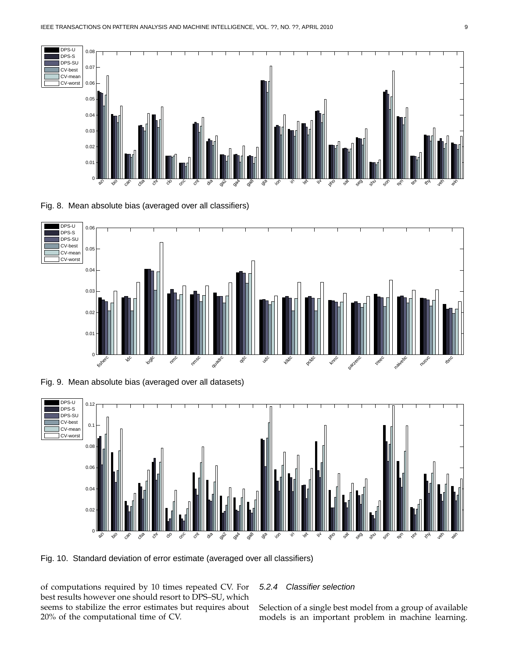

Fig. 8. Mean absolute bias (averaged over all classifiers)



Fig. 9. Mean absolute bias (averaged over all datasets)



Fig. 10. Standard deviation of error estimate (averaged over all classifiers)

of computations required by 10 times repeated CV. For best results however one should resort to DPS–SU, which seems to stabilize the error estimates but requires about 20% of the computational time of CV.

# 5.2.4 Classifier selection

Selection of a single best model from a group of available models is an important problem in machine learning.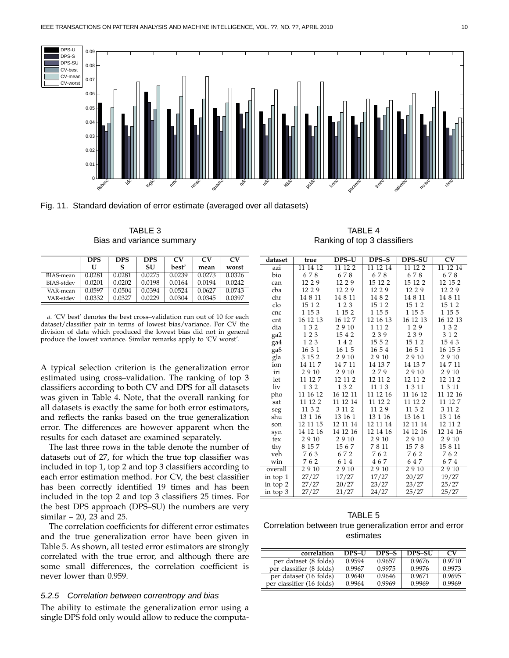



TABLE 3 Bias and variance summary

|                   | <b>DPS</b> | <b>DPS</b> | <b>DPS</b> | <b>CV</b> | CV     | <b>CV</b> |
|-------------------|------------|------------|------------|-----------|--------|-----------|
|                   | U          |            | SU         | $best^a$  | mean   | worst     |
| BIAS-mean         | 0.0281     | 0.0281     | 0.0275     | 0.0239    | 0.0273 | 0.0326    |
| <b>BIAS-stdev</b> | 0.0201     | 0.0202     | 0.0198     | 0.0164    | 0.0194 | 0.0242    |
| VAR-mean          | 0.0597     | 0.0504     | 0.0394     | 0.0524    | 0.0627 | 0.0743    |
| VAR-stdev         | 0.0332     | 0.0327     | 0.0229     | 0.0304    | 0.0345 | 0.0397    |

*a*. 'CV best' denotes the best cross–validation run out of 10 for each dataset/classifier pair in terms of lowest bias/variance. For CV the division of data which produced the lowest bias did not in general produce the lowest variance. Similar remarks apply to 'CV worst'.

A typical selection criterion is the generalization error estimated using cross–validation. The ranking of top 3 classifiers according to both CV and DPS for all datasets was given in Table 4. Note, that the overall ranking for all datasets is exactly the same for both error estimators, and reflects the ranks based on the true generalization error. The differences are however apparent when the results for each dataset are examined separately.

The last three rows in the table denote the number of datasets out of 27, for which the true top classifier was included in top 1, top 2 and top 3 classifiers according to each error estimation method. For CV, the best classifier has been correctly identified 19 times and has been included in the top 2 and top 3 classifiers 25 times. For the best DPS approach (DPS–SU) the numbers are very similar – 20, 23 and 25.

The correlation coefficients for different error estimates and the true generalization error have been given in Table 5. As shown, all tested error estimators are strongly correlated with the true error, and although there are some small differences, the correlation coefficient is never lower than 0.959.

#### 5.2.5 Correlation between correntropy and bias

The ability to estimate the generalization error using a single DPS fold only would allow to reduce the computa-

TABLE 4 Ranking of top 3 classifiers

| dataset    | true     | DPS-U    | DPS-S    | <b>DPS-SU</b> | $\overline{\rm CV}$ |
|------------|----------|----------|----------|---------------|---------------------|
| azi        | 11 14 12 | 11 12 2  | 11 12 14 | 11 12 2       | 11 12 14            |
| bio        | 678      | 678      | 678      | 678           | 678                 |
| can        | 12 2 9   | 12 2 9   | 15 12 2  | 15 12 2       | 12 15 2             |
| cba        | 12 2 9   | 12 2 9   | 12 2 9   | 12 2 9        | 12 2 9              |
| chr        | 14 8 11  | 14 8 11  | 14 8 2   | 14 8 11       | 14 8 11             |
| clo        | 15 1 2   | 123      | 15 1 2   | 15 1 2        | 15 1 2              |
| cnc        | 1 15 3   | 1 15 2   | 1 15 5   | 1 15 5        | 1 15 5              |
| cnt        | 16 12 13 | 16 12 7  | 12 16 13 | 16 12 13      | 16 12 13            |
| dia        | 132      | 29 10    | 1 1 1 2  | 129           | 132                 |
| ga2        | 123      | 1542     | 239      | 239           | 312                 |
| ga4        | 123      | 142      | 15 5 2   | 15 1 2        | 15 4 3              |
| ga8        | 16 3 1   | 16 1 5   | 16 5 4   | 16 5 1        | 16 15 5             |
| gla        | 3 15 2   | 29 10    | 2910     | 2910          | 29 10               |
| ion        | 14 11 7  | 14 7 11  | 14 13 7  | 14 13 7       | 14 7 11             |
| iri        | 2910     | 29 10    | 279      | 2910          | 29 10               |
| let        | 11 12 7  | 12 11 2  | 12 11 2  | 12 11 2       | 12 11 2             |
| liv        | 132      | 132      | 11 1 3   | 1 3 1 1       | 1 3 1 1             |
| pho        | 11 16 12 | 16 12 11 | 11 12 16 | 11 16 12      | 11 12 16            |
| sat        | 11 12 2  | 11 12 14 | 11 12 2  | 11 12 2       | 11 12 7             |
| seg        | 11 3 2   | 3 11 2   | 11 2 9   | 11 3 2        | 3 11 2              |
| shu        | 13 1 16  | 13 16 1  | 13 1 16  | 13 16 1       | 13 1 16             |
| son        | 12 11 15 | 12 11 14 | 12 11 14 | 12 11 14      | 12 11 2             |
| syn        | 14 12 16 | 14 12 16 | 12 14 16 | 14 12 16      | 12 14 16            |
| tex        | 2910     | 29 10    | 2910     | 2910          | 29 10               |
| thy        | 8 15 7   | 1567     | 7811     | 1578          | 15 8 11             |
| veh        | 763      | 672      | 762      | 762           | 762                 |
| win        | 762      | 6 1 4    | 467      | 647           | 674                 |
| overall    | 2910     | 2910     | 2910     | 2910          | 2910                |
| in top 1   | 27/27    | 17/27    | 17/27    | 20/27         | 19/27               |
| in top $2$ | 27/27    | 20/27    | 23/27    | 23/27         | 25/27               |
| in top 3   | 27/27    | 21/27    | 24/27    | 25/27         | 25/27               |

TABLE 5 Correlation between true generalization error and error estimates

| correlation               | <b>DPS-U</b> | DPS-S  | <b>DPS-SU</b> | $_{\rm\scriptscriptstyle CV}$ |
|---------------------------|--------------|--------|---------------|-------------------------------|
| per dataset (8 folds)     | 0.9594       | 0.9657 | 0.9676        | 0.9710                        |
| per classifier (8 folds)  | 0.9967       | 0.9975 | 0.9976        | 0.9973                        |
| per dataset (16 folds)    | 0.9640       | 0.9646 | 0.9671        | 0.9695                        |
| per classifier (16 folds) | 0.9964       | 0.9969 | 0.9969        | 0.9969                        |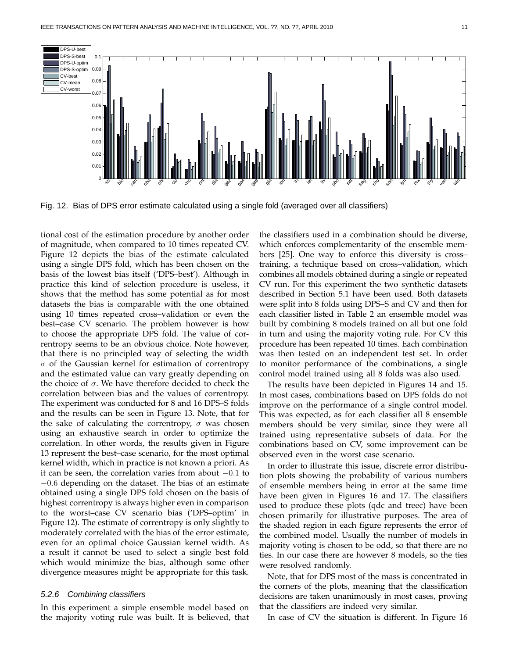

Fig. 12. Bias of DPS error estimate calculated using a single fold (averaged over all classifiers)

tional cost of the estimation procedure by another order of magnitude, when compared to 10 times repeated CV. Figure 12 depicts the bias of the estimate calculated using a single DPS fold, which has been chosen on the basis of the lowest bias itself ('DPS–best'). Although in practice this kind of selection procedure is useless, it shows that the method has some potential as for most datasets the bias is comparable with the one obtained using 10 times repeated cross–validation or even the best–case CV scenario. The problem however is how to choose the appropriate DPS fold. The value of correntropy seems to be an obvious choice. Note however, that there is no principled way of selecting the width  $\sigma$  of the Gaussian kernel for estimation of correntropy and the estimated value can vary greatly depending on the choice of  $\sigma$ . We have therefore decided to check the correlation between bias and the values of correntropy. The experiment was conducted for 8 and 16 DPS–S folds and the results can be seen in Figure 13. Note, that for the sake of calculating the correntropy,  $\sigma$  was chosen using an exhaustive search in order to optimize the correlation. In other words, the results given in Figure 13 represent the best–case scenario, for the most optimal kernel width, which in practice is not known a priori. As it can be seen, the correlation varies from about −0.1 to −0.6 depending on the dataset. The bias of an estimate obtained using a single DPS fold chosen on the basis of highest correntropy is always higher even in comparison to the worst–case CV scenario bias ('DPS–optim' in Figure 12). The estimate of correntropy is only slightly to moderately correlated with the bias of the error estimate, even for an optimal choice Gaussian kernel width. As a result it cannot be used to select a single best fold which would minimize the bias, although some other divergence measures might be appropriate for this task.

# 5.2.6 Combining classifiers

In this experiment a simple ensemble model based on the majority voting rule was built. It is believed, that

the classifiers used in a combination should be diverse, which enforces complementarity of the ensemble members [25]. One way to enforce this diversity is cross– training, a technique based on cross–validation, which combines all models obtained during a single or repeated CV run. For this experiment the two synthetic datasets described in Section 5.1 have been used. Both datasets were split into 8 folds using DPS–S and CV and then for each classifier listed in Table 2 an ensemble model was built by combining 8 models trained on all but one fold in turn and using the majority voting rule. For CV this procedure has been repeated 10 times. Each combination was then tested on an independent test set. In order to monitor performance of the combinations, a single control model trained using all 8 folds was also used.

The results have been depicted in Figures 14 and 15. In most cases, combinations based on DPS folds do not improve on the performance of a single control model. This was expected, as for each classifier all 8 ensemble members should be very similar, since they were all trained using representative subsets of data. For the combinations based on CV, some improvement can be observed even in the worst case scenario.

In order to illustrate this issue, discrete error distribution plots showing the probability of various numbers of ensemble members being in error at the same time have been given in Figures 16 and 17. The classifiers used to produce these plots (qdc and treec) have been chosen primarily for illustrative purposes. The area of the shaded region in each figure represents the error of the combined model. Usually the number of models in majority voting is chosen to be odd, so that there are no ties. In our case there are however 8 models, so the ties were resolved randomly.

Note, that for DPS most of the mass is concentrated in the corners of the plots, meaning that the classification decisions are taken unanimously in most cases, proving that the classifiers are indeed very similar.

In case of CV the situation is different. In Figure 16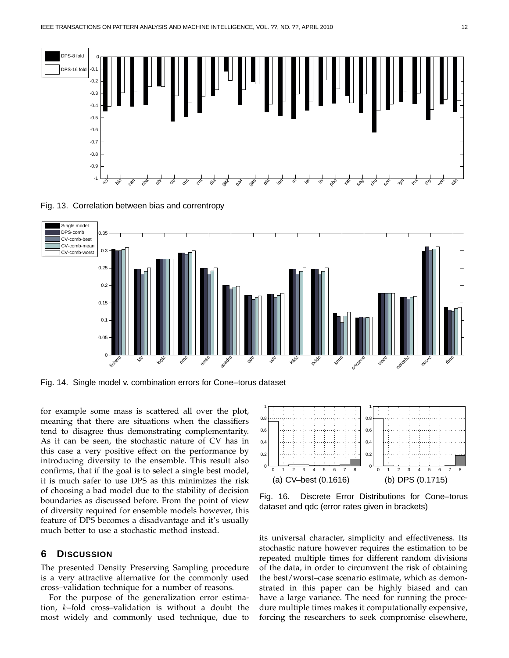

Fig. 13. Correlation between bias and correntropy



Fig. 14. Single model v. combination errors for Cone–torus dataset

for example some mass is scattered all over the plot, meaning that there are situations when the classifiers tend to disagree thus demonstrating complementarity. As it can be seen, the stochastic nature of CV has in this case a very positive effect on the performance by introducing diversity to the ensemble. This result also confirms, that if the goal is to select a single best model, it is much safer to use DPS as this minimizes the risk of choosing a bad model due to the stability of decision boundaries as discussed before. From the point of view of diversity required for ensemble models however, this feature of DPS becomes a disadvantage and it's usually much better to use a stochastic method instead.

# **6 DISCUSSION**

The presented Density Preserving Sampling procedure is a very attractive alternative for the commonly used cross–validation technique for a number of reasons.

For the purpose of the generalization error estimation, k–fold cross–validation is without a doubt the most widely and commonly used technique, due to



Fig. 16. Discrete Error Distributions for Cone–torus dataset and qdc (error rates given in brackets)

its universal character, simplicity and effectiveness. Its stochastic nature however requires the estimation to be repeated multiple times for different random divisions of the data, in order to circumvent the risk of obtaining the best/worst–case scenario estimate, which as demonstrated in this paper can be highly biased and can have a large variance. The need for running the procedure multiple times makes it computationally expensive, forcing the researchers to seek compromise elsewhere,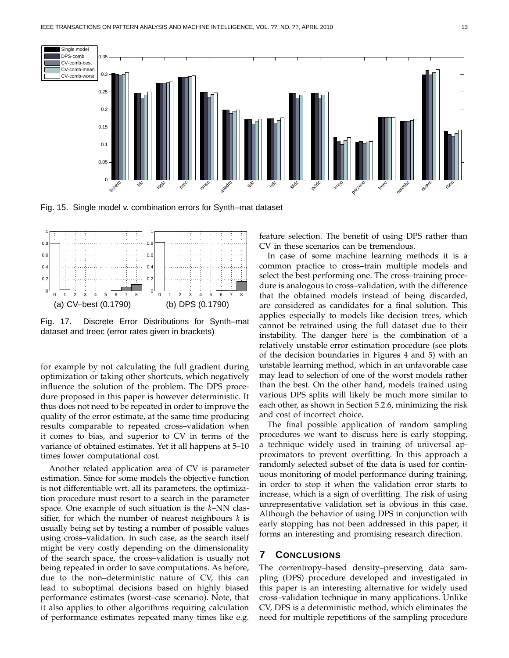

Fig. 15. Single model v. combination errors for Synth–mat dataset



Fig. 17. Discrete Error Distributions for Synth–mat dataset and treec (error rates given in brackets)

for example by not calculating the full gradient during optimization or taking other shortcuts, which negatively influence the solution of the problem. The DPS procedure proposed in this paper is however deterministic. It thus does not need to be repeated in order to improve the quality of the error estimate, at the same time producing results comparable to repeated cross–validation when it comes to bias, and superior to CV in terms of the variance of obtained estimates. Yet it all happens at 5–10 times lower computational cost.

Another related application area of CV is parameter estimation. Since for some models the objective function is not differentiable wrt. all its parameters, the optimization procedure must resort to a search in the parameter space. One example of such situation is the *k*–NN classifier, for which the number of nearest neighbours *k* is usually being set by testing a number of possible values using cross–validation. In such case, as the search itself might be very costly depending on the dimensionality of the search space, the cross–validation is usually not being repeated in order to save computations. As before, due to the non–deterministic nature of CV, this can lead to suboptimal decisions based on highly biased performance estimates (worst–case scenario). Note, that it also applies to other algorithms requiring calculation of performance estimates repeated many times like e.g.

feature selection. The benefit of using DPS rather than CV in these scenarios can be tremendous.

In case of some machine learning methods it is a common practice to cross–train multiple models and select the best performing one. The cross–training procedure is analogous to cross–validation, with the difference that the obtained models instead of being discarded, are considered as candidates for a final solution. This applies especially to models like decision trees, which cannot be retrained using the full dataset due to their instability. The danger here is the combination of a relatively unstable error estimation procedure (see plots of the decision boundaries in Figures 4 and 5) with an unstable learning method, which in an unfavorable case may lead to selection of one of the worst models rather than the best. On the other hand, models trained using various DPS splits will likely be much more similar to each other, as shown in Section 5.2.6, minimizing the risk and cost of incorrect choice.

The final possible application of random sampling procedures we want to discuss here is early stopping, a technique widely used in training of universal approximators to prevent overfitting. In this approach a randomly selected subset of the data is used for continuous monitoring of model performance during training, in order to stop it when the validation error starts to increase, which is a sign of overfitting. The risk of using unrepresentative validation set is obvious in this case. Although the behavior of using DPS in conjunction with early stopping has not been addressed in this paper, it forms an interesting and promising research direction.

# **7 CONCLUSIONS**

The correntropy–based density–preserving data sampling (DPS) procedure developed and investigated in this paper is an interesting alternative for widely used cross–validation technique in many applications. Unlike CV, DPS is a deterministic method, which eliminates the need for multiple repetitions of the sampling procedure